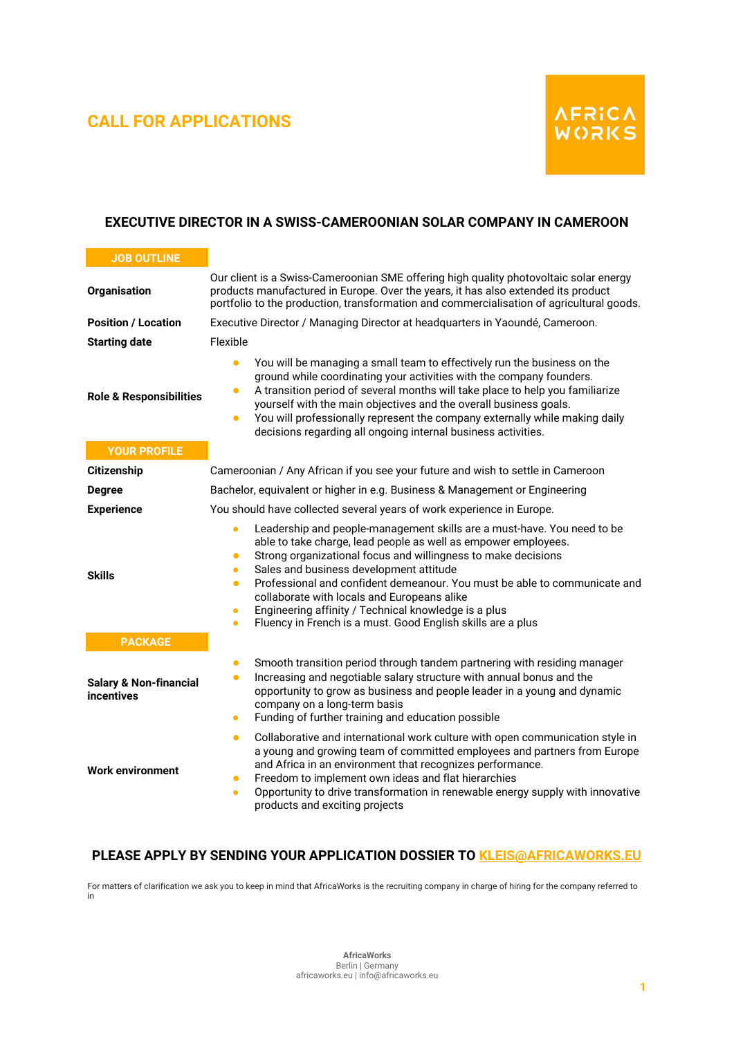## **CALL FOR APPLICATIONS**



## **EXECUTIVE DIRECTOR IN A SWISS-CAMEROONIAN SOLAR COMPANY IN CAMEROON**

| <b>JOB OUTLINE</b>                              |                                                                                                                                                                                                                                                                                                                                                                                                                                                                                                                                                                           |
|-------------------------------------------------|---------------------------------------------------------------------------------------------------------------------------------------------------------------------------------------------------------------------------------------------------------------------------------------------------------------------------------------------------------------------------------------------------------------------------------------------------------------------------------------------------------------------------------------------------------------------------|
| <b>Organisation</b>                             | Our client is a Swiss-Cameroonian SME offering high quality photovoltaic solar energy<br>products manufactured in Europe. Over the years, it has also extended its product<br>portfolio to the production, transformation and commercialisation of agricultural goods.                                                                                                                                                                                                                                                                                                    |
| <b>Position / Location</b>                      | Executive Director / Managing Director at headquarters in Yaoundé, Cameroon.                                                                                                                                                                                                                                                                                                                                                                                                                                                                                              |
| <b>Starting date</b>                            | Flexible                                                                                                                                                                                                                                                                                                                                                                                                                                                                                                                                                                  |
| <b>Role &amp; Responsibilities</b>              | You will be managing a small team to effectively run the business on the<br>$\bullet$<br>ground while coordinating your activities with the company founders.<br>A transition period of several months will take place to help you familiarize<br>$\bullet$<br>yourself with the main objectives and the overall business goals.<br>You will professionally represent the company externally while making daily<br>$\bullet$<br>decisions regarding all ongoing internal business activities.                                                                             |
| <b>YOUR PROFILE</b>                             |                                                                                                                                                                                                                                                                                                                                                                                                                                                                                                                                                                           |
| <b>Citizenship</b>                              | Cameroonian / Any African if you see your future and wish to settle in Cameroon                                                                                                                                                                                                                                                                                                                                                                                                                                                                                           |
| <b>Degree</b>                                   | Bachelor, equivalent or higher in e.g. Business & Management or Engineering                                                                                                                                                                                                                                                                                                                                                                                                                                                                                               |
| <b>Experience</b>                               | You should have collected several years of work experience in Europe.                                                                                                                                                                                                                                                                                                                                                                                                                                                                                                     |
| <b>Skills</b>                                   | Leadership and people-management skills are a must-have. You need to be<br>able to take charge, lead people as well as empower employees.<br>Strong organizational focus and willingness to make decisions<br>$\bullet$<br>Sales and business development attitude<br>$\bullet$<br>Professional and confident demeanour. You must be able to communicate and<br>$\bullet$<br>collaborate with locals and Europeans alike<br>Engineering affinity / Technical knowledge is a plus<br>$\bullet$<br>Fluency in French is a must. Good English skills are a plus<br>$\bullet$ |
| <b>PACKAGE</b>                                  |                                                                                                                                                                                                                                                                                                                                                                                                                                                                                                                                                                           |
| <b>Salary &amp; Non-financial</b><br>incentives | Smooth transition period through tandem partnering with residing manager<br>$\bullet$<br>Increasing and negotiable salary structure with annual bonus and the<br>$\bullet$<br>opportunity to grow as business and people leader in a young and dynamic<br>company on a long-term basis<br>Funding of further training and education possible<br>$\bullet$                                                                                                                                                                                                                 |
| <b>Work environment</b>                         | Collaborative and international work culture with open communication style in<br>$\bullet$<br>a young and growing team of committed employees and partners from Europe<br>and Africa in an environment that recognizes performance.<br>Freedom to implement own ideas and flat hierarchies<br>$\bullet$<br>Opportunity to drive transformation in renewable energy supply with innovative<br>$\bullet$<br>products and exciting projects                                                                                                                                  |

## **PLEASE APPLY BY SENDING YOUR APPLICATION DOSSIER TO [KLEIS@AFRICAWORKS.EU](mailto:KLEIS@AFRICAWORKS.EU)**

For matters of clarification we ask you to keep in mind that AfricaWorks is the recruiting company in charge of hiring for the company referred to in